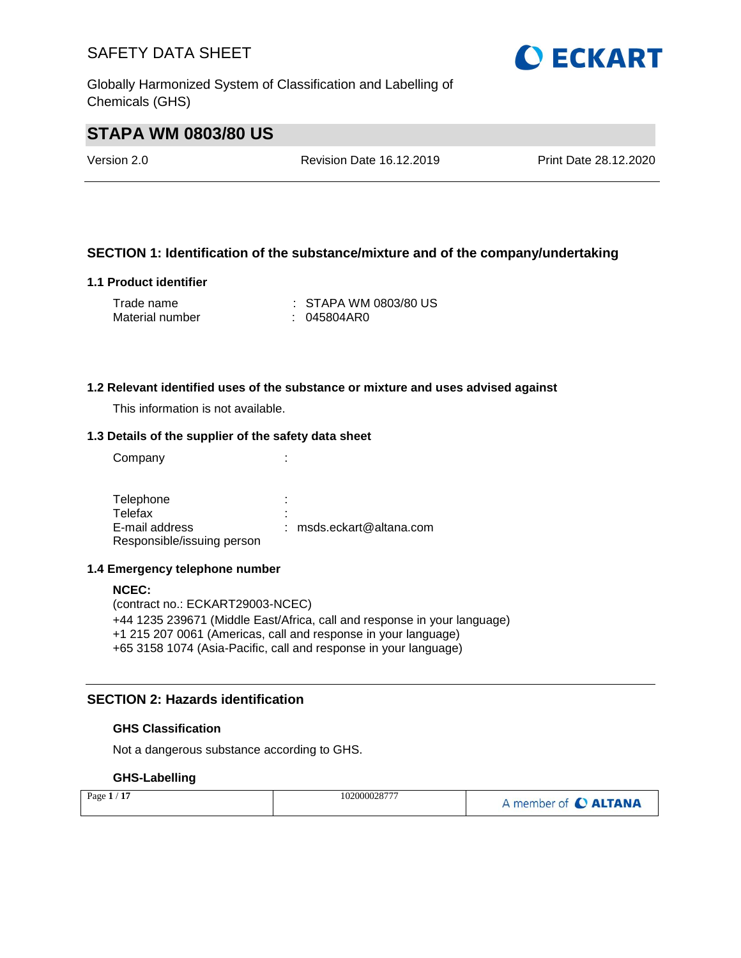Globally Harmonized System of Classification and Labelling of Chemicals (GHS)

# **OECKART**

# **STAPA WM 0803/80 US**

Version 2.0 Revision Date 16.12.2019 Print Date 28.12.2020

# **SECTION 1: Identification of the substance/mixture and of the company/undertaking**

## **1.1 Product identifier**

| Trade name      | $\therefore$ STAPA WM 0803/80 US |
|-----------------|----------------------------------|
| Material number | : 045804AR0                      |

#### **1.2 Relevant identified uses of the substance or mixture and uses advised against**

This information is not available.

## **1.3 Details of the supplier of the safety data sheet**

Company the company of the company of the company  $\mathcal{L}$ :

Telephone : the state of the state of the state of the state of the state of the state of the state of the state of the state of the state of the state of the state of the state of the state of the state of the state of th Telefax : E-mail address Responsible/issuing person : msds.eckart@altana.com

#### **1.4 Emergency telephone number**

#### **NCEC:**

(contract no.: ECKART29003-NCEC) +44 1235 239671 (Middle East/Africa, call and response in your language) +1 215 207 0061 (Americas, call and response in your language) +65 3158 1074 (Asia-Pacific, call and response in your language)

## **SECTION 2: Hazards identification**

#### **GHS Classification**

Not a dangerous substance according to GHS.

## **GHS-Labelling**

| Page $1/17$ | 102000028777 | A member of C ALTANA |
|-------------|--------------|----------------------|
|-------------|--------------|----------------------|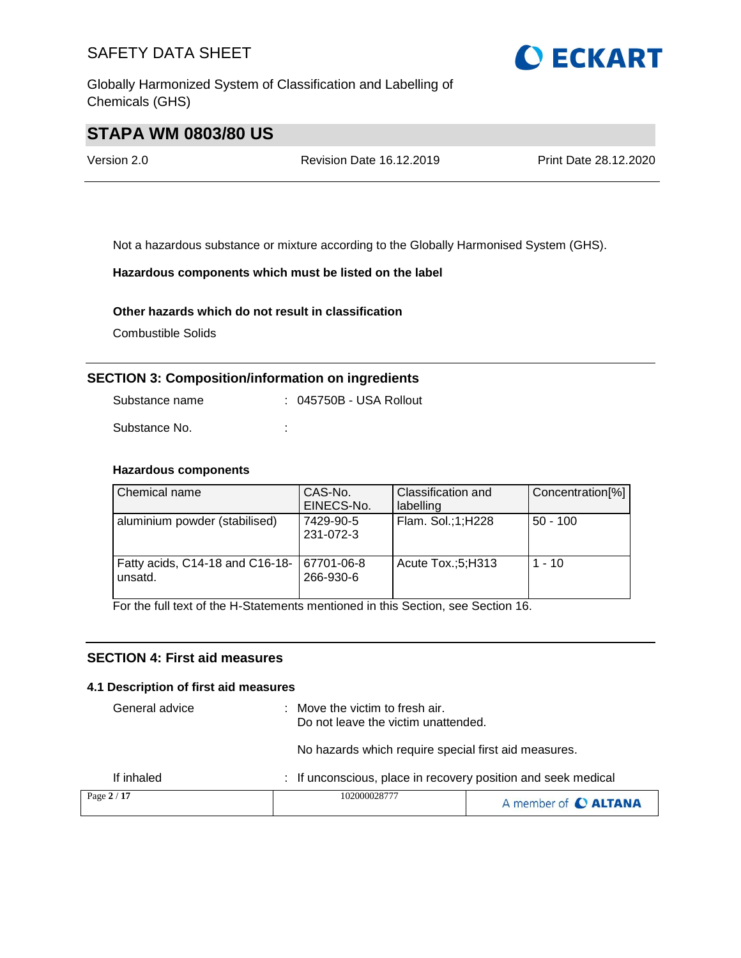Globally Harmonized System of Classification and Labelling of Chemicals (GHS)



# **STAPA WM 0803/80 US**

Version 2.0 Revision Date 16.12.2019 Print Date 28.12.2020

Not a hazardous substance or mixture according to the Globally Harmonised System (GHS).

## **Hazardous components which must be listed on the label**

## **Other hazards which do not result in classification**

Combustible Solids

# **SECTION 3: Composition/information on ingredients**

| Substance name | : 045750B - USA Rollout |
|----------------|-------------------------|
| Substance No.  | ٠                       |

## **Hazardous components**

| Chemical name                              | CAS-No.<br>EINECS-No.   | Classification and<br>labelling | Concentration[%] |
|--------------------------------------------|-------------------------|---------------------------------|------------------|
| aluminium powder (stabilised)              | 7429-90-5<br>231-072-3  | Flam. Sol.;1;H228               | $50 - 100$       |
| Fatty acids, C14-18 and C16-18-<br>unsatd. | 67701-06-8<br>266-930-6 | Acute Tox.;5;H313               | $1 - 10$         |

For the full text of the H-Statements mentioned in this Section, see Section 16.

## **SECTION 4: First aid measures**

#### **4.1 Description of first aid measures**

| General advice | $\therefore$ Move the victim to fresh air.<br>Do not leave the victim unattended. |                      |
|----------------|-----------------------------------------------------------------------------------|----------------------|
|                | No hazards which require special first aid measures.                              |                      |
| If inhaled     | : If unconscious, place in recovery position and seek medical                     |                      |
| Page 2 / 17    | 102000028777                                                                      | A member of C ALTANA |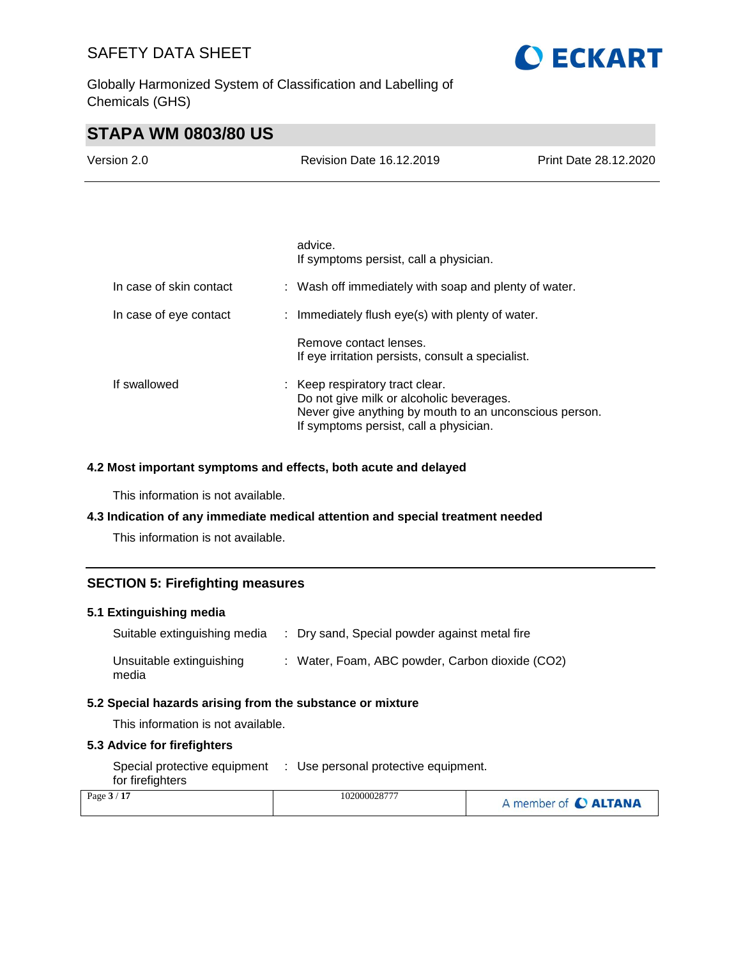Globally Harmonized System of Classification and Labelling of Chemicals (GHS)

# **O ECKART**

# **STAPA WM 0803/80 US**

| Version 2.0 | Revision Date 16.12.2019 | Print Date 28.12.2020 |
|-------------|--------------------------|-----------------------|
|             |                          |                       |
|             | advice.                  |                       |

|                         | auviuu.<br>If symptoms persist, call a physician.                                                                                                                             |  |
|-------------------------|-------------------------------------------------------------------------------------------------------------------------------------------------------------------------------|--|
| In case of skin contact | : Wash off immediately with soap and plenty of water.                                                                                                                         |  |
| In case of eye contact  | : Immediately flush eye(s) with plenty of water.                                                                                                                              |  |
|                         | Remove contact lenses.<br>If eye irritation persists, consult a specialist.                                                                                                   |  |
| If swallowed            | Keep respiratory tract clear.<br>Do not give milk or alcoholic beverages.<br>Never give anything by mouth to an unconscious person.<br>If symptoms persist, call a physician. |  |

## **4.2 Most important symptoms and effects, both acute and delayed**

This information is not available.

## **4.3 Indication of any immediate medical attention and special treatment needed**

This information is not available.

## **SECTION 5: Firefighting measures**

## **5.1 Extinguishing media**

| Suitable extinguishing media      | : Dry sand, Special powder against metal fire   |
|-----------------------------------|-------------------------------------------------|
| Unsuitable extinguishing<br>media | : Water, Foam, ABC powder, Carbon dioxide (CO2) |

#### **5.2 Special hazards arising from the substance or mixture**

This information is not available.

## **5.3 Advice for firefighters**

| Special protective equipment | : Use personal protective equipment. |
|------------------------------|--------------------------------------|
| for firefighters             |                                      |

| Page $3/17$ | 10200002877 | A member of C ALTANA |
|-------------|-------------|----------------------|
|             |             |                      |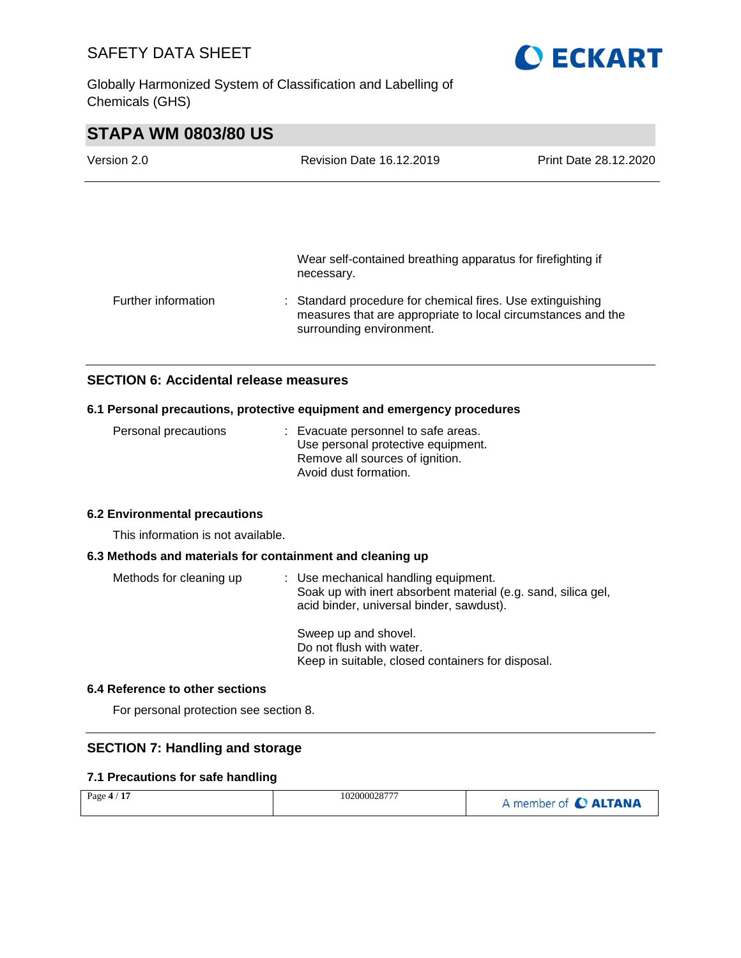**OECKART** 

Globally Harmonized System of Classification and Labelling of Chemicals (GHS)

| <b>STAPA WM 0803/80 US</b> |                                                                                                                                                        |                       |
|----------------------------|--------------------------------------------------------------------------------------------------------------------------------------------------------|-----------------------|
| Version 2.0                | <b>Revision Date 16.12.2019</b>                                                                                                                        | Print Date 28.12.2020 |
|                            |                                                                                                                                                        |                       |
|                            |                                                                                                                                                        |                       |
|                            | Wear self-contained breathing apparatus for firefighting if<br>necessary.                                                                              |                       |
| Further information        | : Standard procedure for chemical fires. Use extinguishing<br>measures that are appropriate to local circumstances and the<br>surrounding environment. |                       |

# **SECTION 6: Accidental release measures**

## **6.1 Personal precautions, protective equipment and emergency procedures**

| Personal precautions | : Evacuate personnel to safe areas. |
|----------------------|-------------------------------------|
|                      | Use personal protective equipment.  |
|                      | Remove all sources of ignition.     |
|                      | Avoid dust formation.               |

#### **6.2 Environmental precautions**

This information is not available.

## **6.3 Methods and materials for containment and cleaning up**

| Methods for cleaning up | : Use mechanical handling equipment.<br>Soak up with inert absorbent material (e.g. sand, silica gel,<br>acid binder, universal binder, sawdust). |
|-------------------------|---------------------------------------------------------------------------------------------------------------------------------------------------|
|                         | Sweep up and shovel.<br>Do not flush with water.<br>Keep in suitable, closed containers for disposal.                                             |

## **6.4 Reference to other sections**

For personal protection see section 8.

## **SECTION 7: Handling and storage**

## **7.1 Precautions for safe handling**

| Page $4/17$ | 102000028777 | A member of C ALTANA |
|-------------|--------------|----------------------|
|             |              |                      |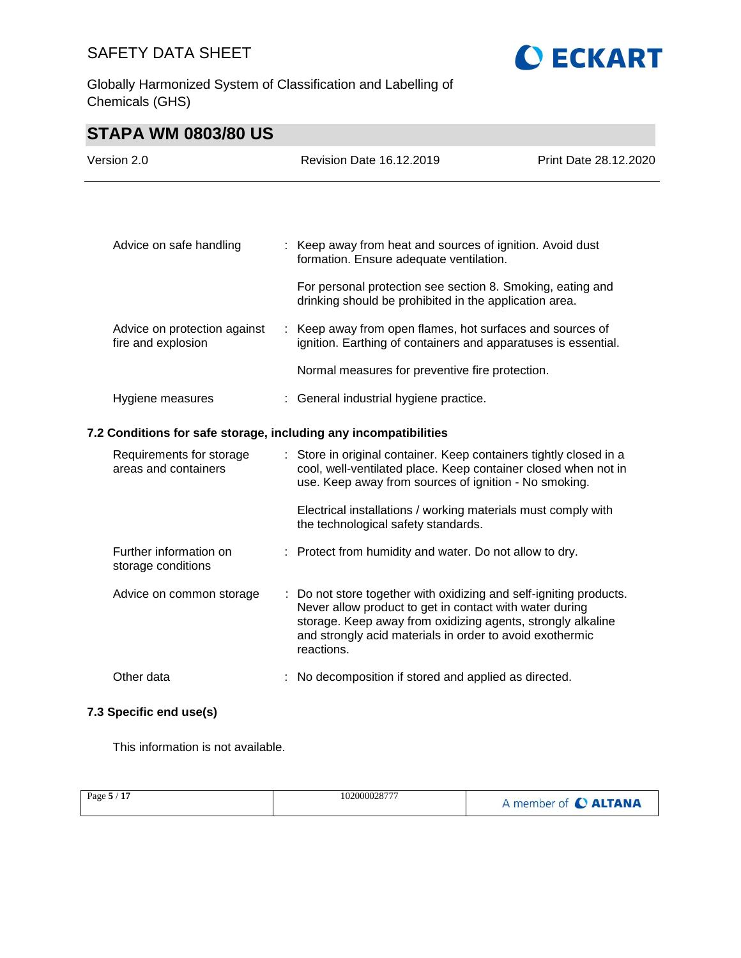Globally Harmonized System of Classification and Labelling of Chemicals (GHS)



# **STAPA WM 0803/80 US**

| Version 2.0 |                                                                  |    | <b>Revision Date 16.12.2019</b>                                                                                                                                                                                                                                      | Print Date 28.12.2020 |
|-------------|------------------------------------------------------------------|----|----------------------------------------------------------------------------------------------------------------------------------------------------------------------------------------------------------------------------------------------------------------------|-----------------------|
|             |                                                                  |    |                                                                                                                                                                                                                                                                      |                       |
|             | Advice on safe handling                                          |    | : Keep away from heat and sources of ignition. Avoid dust<br>formation. Ensure adequate ventilation.                                                                                                                                                                 |                       |
|             |                                                                  |    | For personal protection see section 8. Smoking, eating and<br>drinking should be prohibited in the application area.                                                                                                                                                 |                       |
|             | Advice on protection against<br>fire and explosion               |    | : Keep away from open flames, hot surfaces and sources of<br>ignition. Earthing of containers and apparatuses is essential.                                                                                                                                          |                       |
|             |                                                                  |    | Normal measures for preventive fire protection.                                                                                                                                                                                                                      |                       |
|             | Hygiene measures                                                 |    | : General industrial hygiene practice.                                                                                                                                                                                                                               |                       |
|             | 7.2 Conditions for safe storage, including any incompatibilities |    |                                                                                                                                                                                                                                                                      |                       |
|             | Requirements for storage<br>areas and containers                 |    | : Store in original container. Keep containers tightly closed in a<br>cool, well-ventilated place. Keep container closed when not in<br>use. Keep away from sources of ignition - No smoking.                                                                        |                       |
|             |                                                                  |    | Electrical installations / working materials must comply with<br>the technological safety standards.                                                                                                                                                                 |                       |
|             | Further information on<br>storage conditions                     |    | : Protect from humidity and water. Do not allow to dry.                                                                                                                                                                                                              |                       |
|             | Advice on common storage                                         | ÷. | Do not store together with oxidizing and self-igniting products.<br>Never allow product to get in contact with water during<br>storage. Keep away from oxidizing agents, strongly alkaline<br>and strongly acid materials in order to avoid exothermic<br>reactions. |                       |
|             | Other data                                                       |    | : No decomposition if stored and applied as directed.                                                                                                                                                                                                                |                       |

# **7.3 Specific end use(s)**

This information is not available.

|  | Page 5 / 17 | 102000028777 | A member of C ALTANA |
|--|-------------|--------------|----------------------|
|--|-------------|--------------|----------------------|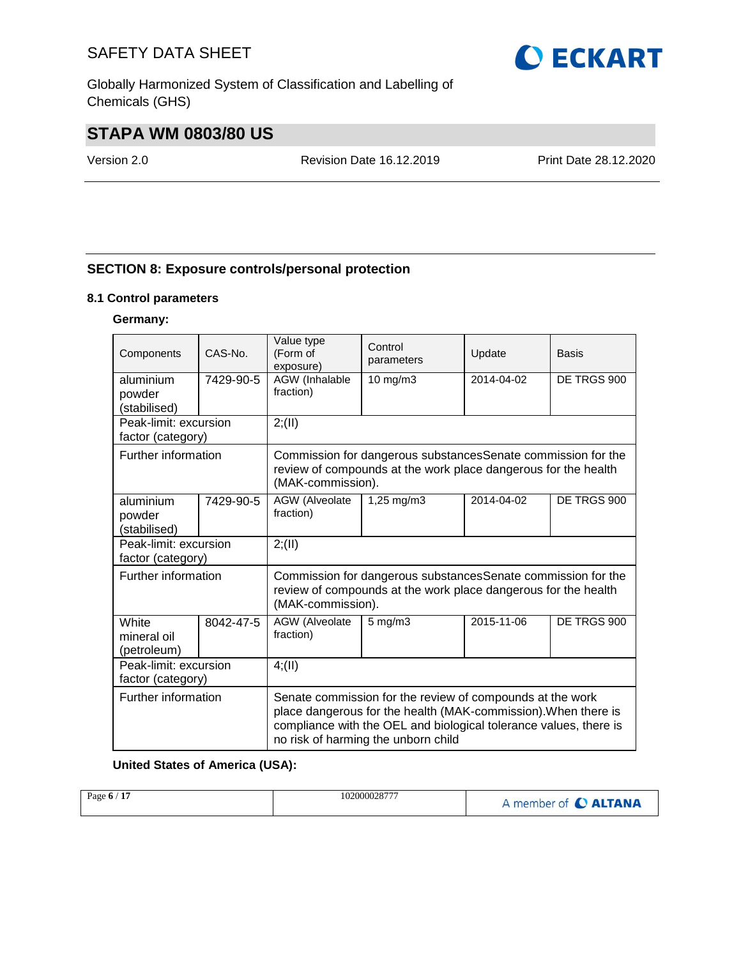Globally Harmonized System of Classification and Labelling of Chemicals (GHS)

# **STAPA WM 0803/80 US**

Version 2.0 Revision Date 16.12.2019 Print Date 28.12.2020

# **SECTION 8: Exposure controls/personal protection**

## **8.1 Control parameters**

# **Germany:**

| Components                                 | CAS-No.   | Value type<br>(Form of<br>exposure)                                                                                                                 | Control<br>parameters                                                                                                                                                                                                                   | Update     | Basis       |
|--------------------------------------------|-----------|-----------------------------------------------------------------------------------------------------------------------------------------------------|-----------------------------------------------------------------------------------------------------------------------------------------------------------------------------------------------------------------------------------------|------------|-------------|
| aluminium                                  | 7429-90-5 | AGW (Inhalable<br>fraction)                                                                                                                         | 10 mg/m3                                                                                                                                                                                                                                | 2014-04-02 | DE TRGS 900 |
| powder<br>(stabilised)                     |           |                                                                                                                                                     |                                                                                                                                                                                                                                         |            |             |
| Peak-limit: excursion                      |           | 2; (II)                                                                                                                                             |                                                                                                                                                                                                                                         |            |             |
| factor (category)                          |           |                                                                                                                                                     |                                                                                                                                                                                                                                         |            |             |
| Further information                        |           | (MAK-commission).                                                                                                                                   | Commission for dangerous substancesSenate commission for the<br>review of compounds at the work place dangerous for the health                                                                                                          |            |             |
| aluminium<br>powder<br>(stabilised)        | 7429-90-5 | AGW (Alveolate<br>fraction)                                                                                                                         | $1,25 \, \text{mg/m}$ 3                                                                                                                                                                                                                 | 2014-04-02 | DE TRGS 900 |
| Peak-limit: excursion<br>factor (category) |           | 2; (II)                                                                                                                                             |                                                                                                                                                                                                                                         |            |             |
| Further information                        |           | Commission for dangerous substancesSenate commission for the<br>review of compounds at the work place dangerous for the health<br>(MAK-commission). |                                                                                                                                                                                                                                         |            |             |
| White<br>mineral oil<br>(petroleum)        | 8042-47-5 | AGW (Alveolate<br>fraction)                                                                                                                         | $5 \text{ mg/m}$ 3                                                                                                                                                                                                                      | 2015-11-06 | DE TRGS 900 |
| Peak-limit: excursion<br>factor (category) |           | 4; (II)                                                                                                                                             |                                                                                                                                                                                                                                         |            |             |
| Further information                        |           |                                                                                                                                                     | Senate commission for the review of compounds at the work<br>place dangerous for the health (MAK-commission). When there is<br>compliance with the OEL and biological tolerance values, there is<br>no risk of harming the unborn child |            |             |

## **United States of America (USA):**

| 1.4.5<br>102000028777<br>Page 6<br>.<br>. | <b>ALTANA</b><br>member of |
|-------------------------------------------|----------------------------|
|                                           |                            |

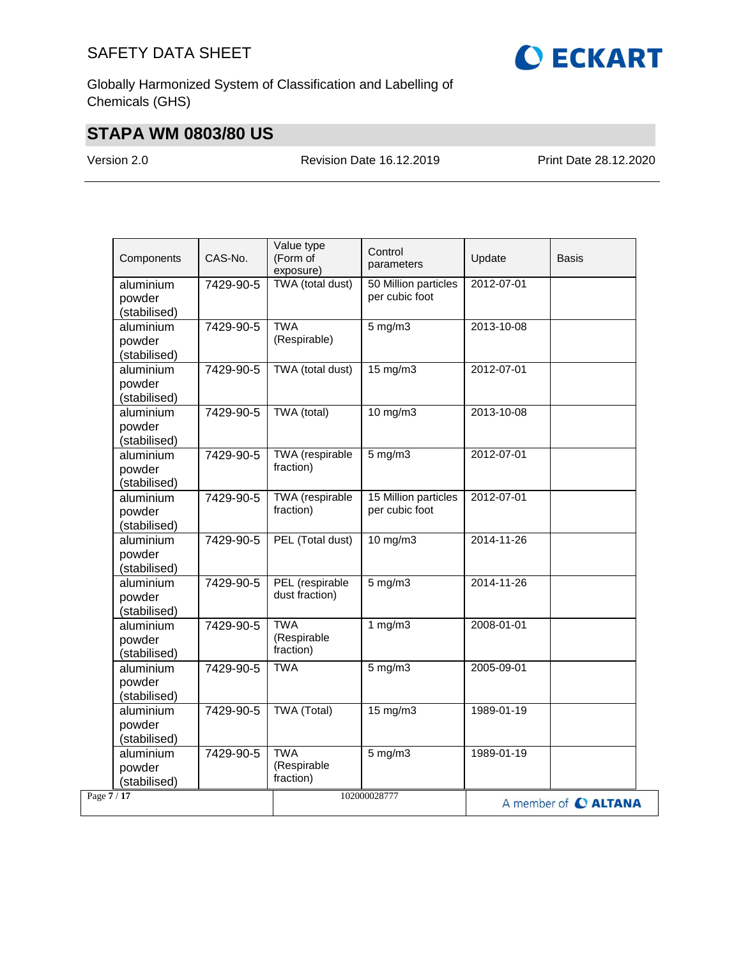

Globally Harmonized System of Classification and Labelling of Chemicals (GHS)

# **STAPA WM 0803/80 US**

Version 2.0 Revision Date 16.12.2019 Print Date 28.12.2020

| Components                          | CAS-No.   | Value type<br>(Form of<br>exposure)    | Control<br>parameters                  | Update     | Basis                |
|-------------------------------------|-----------|----------------------------------------|----------------------------------------|------------|----------------------|
| aluminium<br>powder<br>(stabilised) | 7429-90-5 | TWA (total dust)                       | 50 Million particles<br>per cubic foot | 2012-07-01 |                      |
| aluminium<br>powder<br>(stabilised) | 7429-90-5 | <b>TWA</b><br>(Respirable)             | $5$ mg/m $3$                           | 2013-10-08 |                      |
| aluminium<br>powder<br>(stabilised) | 7429-90-5 | TWA (total dust)                       | $15 \text{ mg/m}$                      | 2012-07-01 |                      |
| aluminium<br>powder<br>(stabilised) | 7429-90-5 | TWA (total)                            | 10 mg/m3                               | 2013-10-08 |                      |
| aluminium<br>powder<br>(stabilised) | 7429-90-5 | TWA (respirable<br>fraction)           | $5$ mg/m $3$                           | 2012-07-01 |                      |
| aluminium<br>powder<br>(stabilised) | 7429-90-5 | TWA (respirable<br>fraction)           | 15 Million particles<br>per cubic foot | 2012-07-01 |                      |
| aluminium<br>powder<br>(stabilised) | 7429-90-5 | PEL (Total dust)                       | 10 mg/m3                               | 2014-11-26 |                      |
| aluminium<br>powder<br>(stabilised) | 7429-90-5 | PEL (respirable<br>dust fraction)      | $5$ mg/m $3$                           | 2014-11-26 |                      |
| aluminium<br>powder<br>(stabilised) | 7429-90-5 | <b>TWA</b><br>(Respirable<br>fraction) | 1 $mg/m3$                              | 2008-01-01 |                      |
| aluminium<br>powder<br>(stabilised) | 7429-90-5 | <b>TWA</b>                             | $5$ mg/m $3$                           | 2005-09-01 |                      |
| aluminium<br>powder<br>(stabilised) | 7429-90-5 | TWA (Total)                            | 15 mg/m3                               | 1989-01-19 |                      |
| aluminium<br>powder<br>(stabilised) | 7429-90-5 | <b>TWA</b><br>(Respirable<br>fraction) | $5$ mg/m $3$                           | 1989-01-19 |                      |
| Page $7/17$                         |           |                                        | 102000028777                           |            | A member of C ALTANA |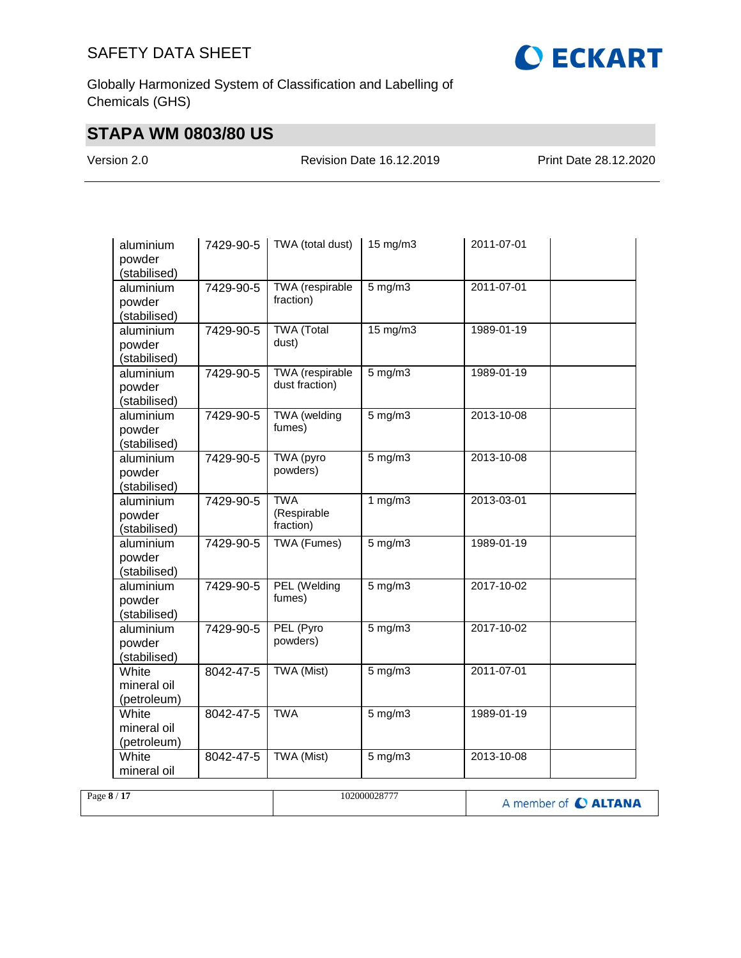

Globally Harmonized System of Classification and Labelling of Chemicals (GHS)

# **STAPA WM 0803/80 US**

Version 2.0 Revision Date 16.12.2019 Print Date 28.12.2020

| aluminium<br>powder<br>(stabilised) | 7429-90-5 | TWA (total dust)                         | 15 mg/m3     | 2011-07-01 |
|-------------------------------------|-----------|------------------------------------------|--------------|------------|
| aluminium<br>powder<br>(stabilised) | 7429-90-5 | TWA (respirable<br>fraction)             | $5$ mg/m $3$ | 2011-07-01 |
| aluminium<br>powder<br>(stabilised) | 7429-90-5 | <b>TWA</b> (Total<br>dust)               | 15 mg/m3     | 1989-01-19 |
| aluminium<br>powder<br>(stabilised) | 7429-90-5 | <b>TWA</b> (respirable<br>dust fraction) | $5$ mg/m $3$ | 1989-01-19 |
| aluminium<br>powder<br>(stabilised) | 7429-90-5 | TWA (welding<br>fumes)                   | $5$ mg/m $3$ | 2013-10-08 |
| aluminium<br>powder<br>(stabilised) | 7429-90-5 | TWA (pyro<br>powders)                    | $5$ mg/m $3$ | 2013-10-08 |
| aluminium<br>powder<br>(stabilised) | 7429-90-5 | <b>TWA</b><br>(Respirable<br>fraction)   | 1 $mg/m3$    | 2013-03-01 |
| aluminium<br>powder<br>(stabilised) | 7429-90-5 | TWA (Fumes)                              | $5$ mg/m $3$ | 1989-01-19 |
| aluminium<br>powder<br>(stabilised) | 7429-90-5 | PEL (Welding<br>fumes)                   | $5$ mg/m $3$ | 2017-10-02 |
| aluminium<br>powder<br>(stabilised) | 7429-90-5 | PEL (Pyro<br>powders)                    | $5$ mg/m $3$ | 2017-10-02 |
| White<br>mineral oil<br>(petroleum) | 8042-47-5 | <b>TWA (Mist)</b>                        | $5$ mg/m $3$ | 2011-07-01 |
| White<br>mineral oil<br>(petroleum) | 8042-47-5 | <b>TWA</b>                               | $5$ mg/m $3$ | 1989-01-19 |
| White<br>mineral oil                | 8042-47-5 | TWA (Mist)                               | $5$ mg/m $3$ | 2013-10-08 |

| Page 8 / 17 | 102000028777 | A member of C ALTANA |
|-------------|--------------|----------------------|
|             |              |                      |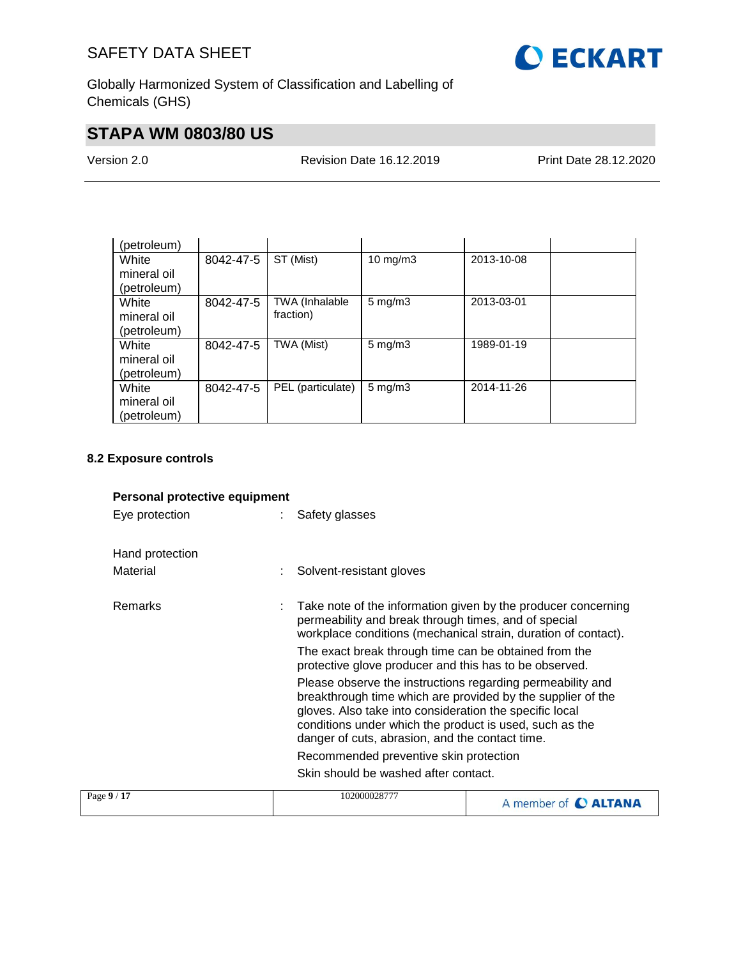

Globally Harmonized System of Classification and Labelling of Chemicals (GHS)

# **STAPA WM 0803/80 US**

Version 2.0 Revision Date 16.12.2019 Print Date 28.12.2020

| (petroleum) |           |                   |                    |            |  |
|-------------|-----------|-------------------|--------------------|------------|--|
| White       | 8042-47-5 | ST (Mist)         | $10$ mg/m $3$      | 2013-10-08 |  |
| mineral oil |           |                   |                    |            |  |
| (petroleum) |           |                   |                    |            |  |
| White       | 8042-47-5 | TWA (Inhalable    | $5 \text{ mg/m}$ 3 | 2013-03-01 |  |
| mineral oil |           | fraction)         |                    |            |  |
| (petroleum) |           |                   |                    |            |  |
| White       | 8042-47-5 | TWA (Mist)        | $5 \text{ mg/m}$ 3 | 1989-01-19 |  |
| mineral oil |           |                   |                    |            |  |
| (petroleum) |           |                   |                    |            |  |
| White       | 8042-47-5 | PEL (particulate) | $5 \text{ mg/m}$ 3 | 2014-11-26 |  |
| mineral oil |           |                   |                    |            |  |
| (petroleum) |           |                   |                    |            |  |

## **8.2 Exposure controls**

# **Personal protective equipment**

Eye protection : Safety glasses

| Hand protection<br>Material | Solvent-resistant gloves                                                                                                                                                                                                                                                                           |
|-----------------------------|----------------------------------------------------------------------------------------------------------------------------------------------------------------------------------------------------------------------------------------------------------------------------------------------------|
| Remarks                     | Take note of the information given by the producer concerning<br>permeability and break through times, and of special<br>workplace conditions (mechanical strain, duration of contact).                                                                                                            |
|                             | The exact break through time can be obtained from the<br>protective glove producer and this has to be observed.                                                                                                                                                                                    |
|                             | Please observe the instructions regarding permeability and<br>breakthrough time which are provided by the supplier of the<br>gloves. Also take into consideration the specific local<br>conditions under which the product is used, such as the<br>danger of cuts, abrasion, and the contact time. |
|                             | Recommended preventive skin protection                                                                                                                                                                                                                                                             |
|                             | Skin should be washed after contact.                                                                                                                                                                                                                                                               |
| - በ / 17                    | 10300003977                                                                                                                                                                                                                                                                                        |

| Page $9/17$ | 102000028777 | A member of C ALTANA |
|-------------|--------------|----------------------|
|             |              |                      |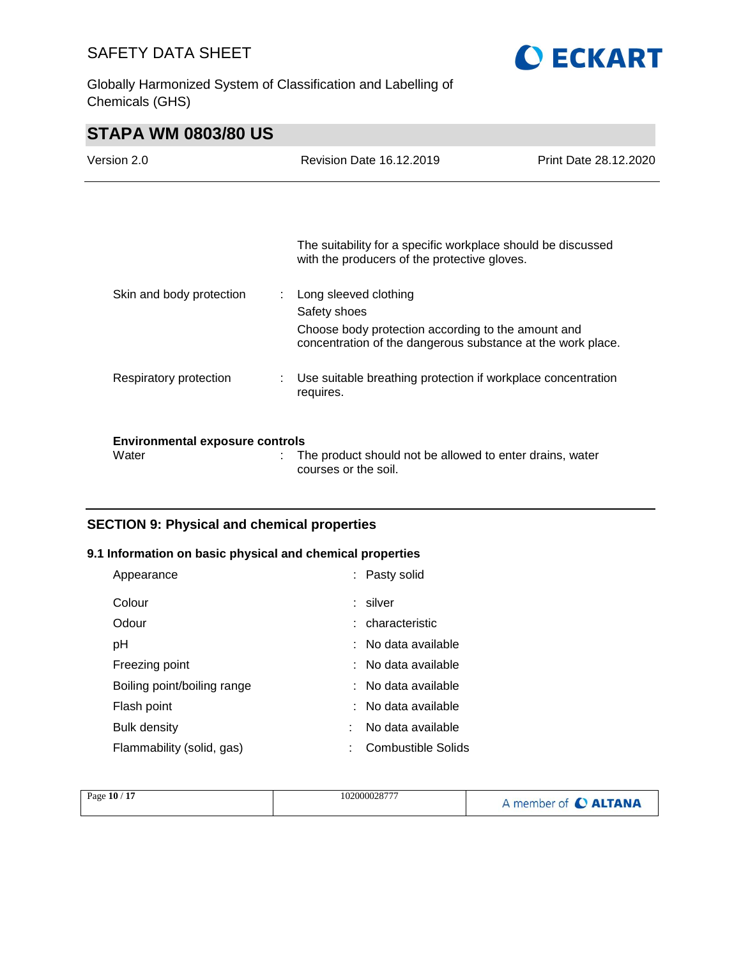Globally Harmonized System of Classification and Labelling of Chemicals (GHS)



# **STAPA WM 0803/80 US**

| Version 2.0                                     | <b>Revision Date 16.12.2019</b>                                                                                                                            | Print Date 28.12.2020 |
|-------------------------------------------------|------------------------------------------------------------------------------------------------------------------------------------------------------------|-----------------------|
|                                                 |                                                                                                                                                            |                       |
|                                                 | The suitability for a specific workplace should be discussed<br>with the producers of the protective gloves.                                               |                       |
| Skin and body protection                        | Long sleeved clothing<br>Safety shoes<br>Choose body protection according to the amount and<br>concentration of the dangerous substance at the work place. |                       |
| Respiratory protection                          | Use suitable breathing protection if workplace concentration<br>requires.                                                                                  |                       |
| <b>Environmental exposure controls</b><br>Water | The product should not be allowed to enter drains, water<br>courses or the soil.                                                                           |                       |

# **SECTION 9: Physical and chemical properties**

# **9.1 Information on basic physical and chemical properties**

| Appearance                  | : Pasty solid                  |
|-----------------------------|--------------------------------|
| Colour                      | : silver                       |
| Odour                       | : characteristic               |
| pH                          | $\therefore$ No data available |
| Freezing point              | $\therefore$ No data available |
| Boiling point/boiling range | $\therefore$ No data available |
| Flash point                 | $\therefore$ No data available |
| <b>Bulk density</b>         | No data available              |
| Flammability (solid, gas)   | Combustible Solids             |

| 17<br>Page $10/$<br>102000028777<br>A member of C ALTANA |  |
|----------------------------------------------------------|--|
|----------------------------------------------------------|--|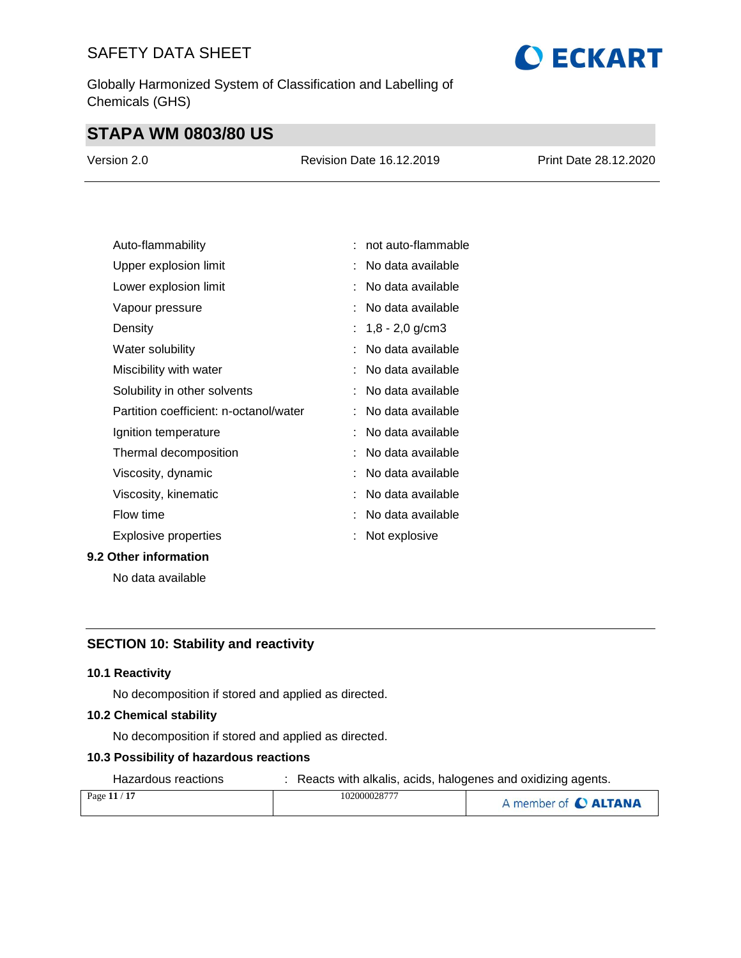Globally Harmonized System of Classification and Labelling of Chemicals (GHS)

# **STAPA WM 0803/80 US**

| Version 2.0 | <b>Revision Date 16.12.2019</b> | Print Date 28.12.2020 |
|-------------|---------------------------------|-----------------------|
|             |                                 |                       |

**O ECKART** 

| Auto-flammability                      | not auto-flammable  |
|----------------------------------------|---------------------|
| Upper explosion limit                  | No data available   |
| Lower explosion limit                  | No data available   |
| Vapour pressure                        | No data available   |
| Density                                | : $1,8 - 2,0$ g/cm3 |
| Water solubility                       | No data available   |
| Miscibility with water                 | No data available   |
| Solubility in other solvents           | No data available   |
| Partition coefficient: n-octanol/water | No data available   |
| Ignition temperature                   | No data available   |
| Thermal decomposition                  | No data available   |
| Viscosity, dynamic                     | No data available   |
| Viscosity, kinematic                   | No data available   |
| Flow time                              | No data available   |
| <b>Explosive properties</b>            | Not explosive       |
| 9.2 Other information                  |                     |

No data available

# **SECTION 10: Stability and reactivity**

## **10.1 Reactivity**

No decomposition if stored and applied as directed.

#### **10.2 Chemical stability**

No decomposition if stored and applied as directed.

## **10.3 Possibility of hazardous reactions**

Hazardous reactions : Reacts with alkalis, acids, halogenes and oxidizing agents.

| Page 11 / 17 | 102000028777 | A member of C ALTANA |
|--------------|--------------|----------------------|
|              |              |                      |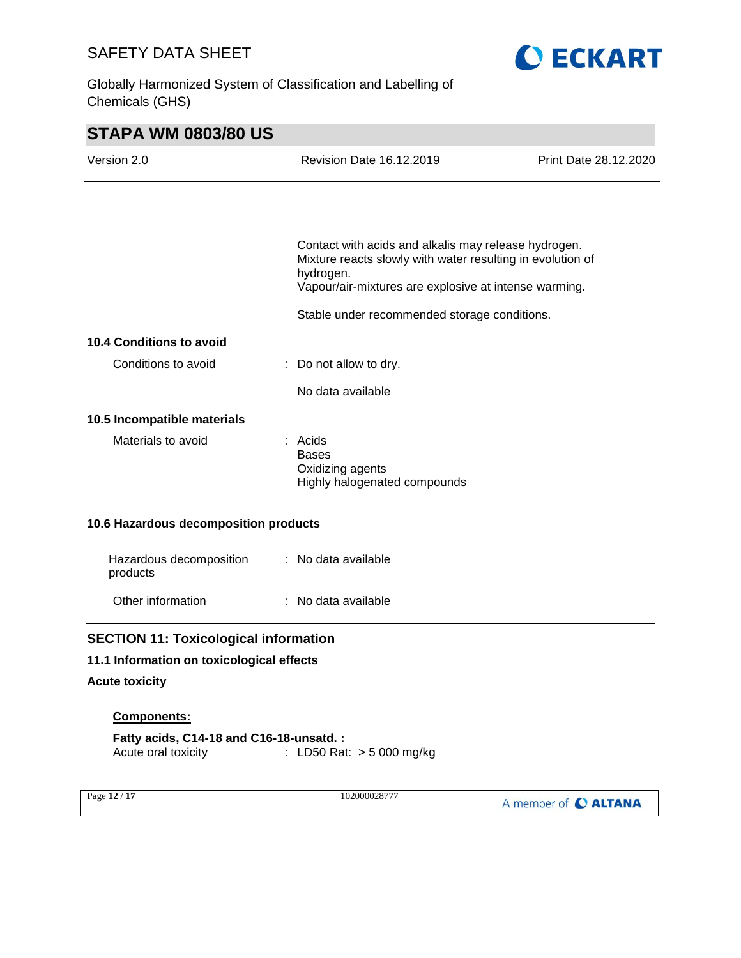Globally Harmonized System of Classification and Labelling of Chemicals (GHS)



| <b>STAPA WM 0803/80 US</b>                   |                                                                                                                                                                                          |                       |
|----------------------------------------------|------------------------------------------------------------------------------------------------------------------------------------------------------------------------------------------|-----------------------|
| Version 2.0                                  | <b>Revision Date 16.12.2019</b>                                                                                                                                                          | Print Date 28.12.2020 |
|                                              |                                                                                                                                                                                          |                       |
|                                              | Contact with acids and alkalis may release hydrogen.<br>Mixture reacts slowly with water resulting in evolution of<br>hydrogen.<br>Vapour/air-mixtures are explosive at intense warming. |                       |
|                                              | Stable under recommended storage conditions.                                                                                                                                             |                       |
| 10.4 Conditions to avoid                     |                                                                                                                                                                                          |                       |
| Conditions to avoid                          | : Do not allow to dry.                                                                                                                                                                   |                       |
|                                              | No data available                                                                                                                                                                        |                       |
| 10.5 Incompatible materials                  |                                                                                                                                                                                          |                       |
| Materials to avoid                           | $:$ Acids<br><b>Bases</b><br>Oxidizing agents<br>Highly halogenated compounds                                                                                                            |                       |
| 10.6 Hazardous decomposition products        |                                                                                                                                                                                          |                       |
| Hazardous decomposition<br>products          | : No data available                                                                                                                                                                      |                       |
| Other information                            | : No data available                                                                                                                                                                      |                       |
| <b>SECTION 11: Toxicological information</b> |                                                                                                                                                                                          |                       |
| 11.1 Information on toxicological effects    |                                                                                                                                                                                          |                       |
| <b>Acute toxicity</b>                        |                                                                                                                                                                                          |                       |
| Components:                                  |                                                                                                                                                                                          |                       |
| Fatty acids, C14-18 and C16-18-unsatd.:      |                                                                                                                                                                                          |                       |

Acute oral toxicity : LD50 Rat: > 5 000 mg/kg

| 102000028777<br>Page 12 / 17 | A member of C ALTANA |
|------------------------------|----------------------|
|------------------------------|----------------------|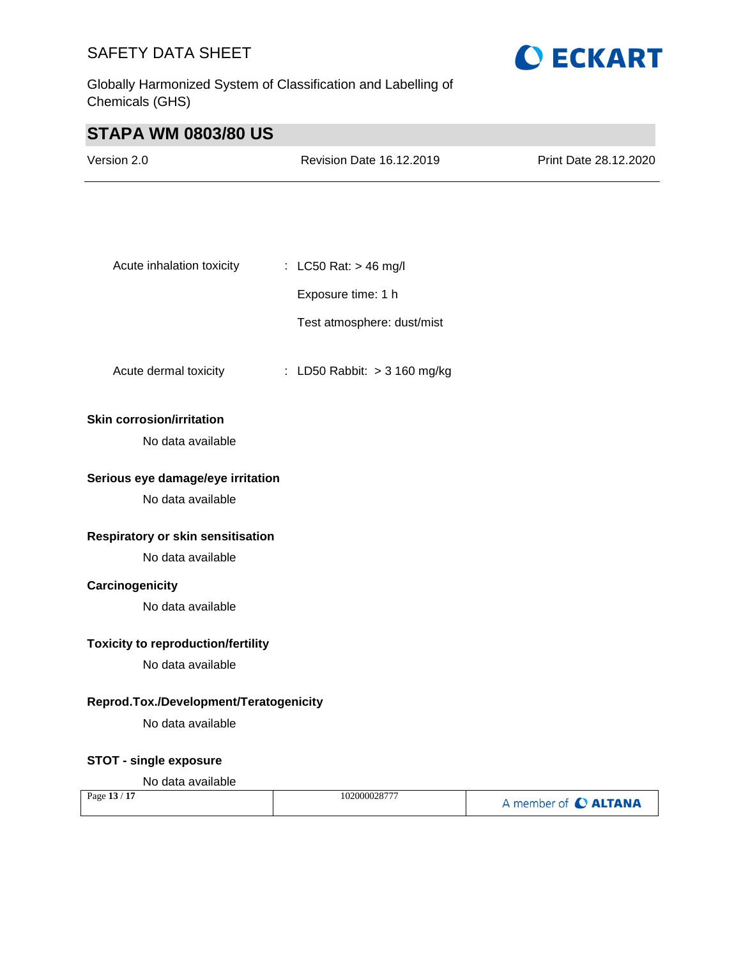Globally Harmonized System of Classification and Labelling of Chemicals (GHS)



# **STAPA WM 0803/80 US**

| Version 2.0               | <b>Revision Date 16.12.2019</b> | Print Date 28.12.2020 |
|---------------------------|---------------------------------|-----------------------|
|                           |                                 |                       |
|                           |                                 |                       |
|                           |                                 |                       |
| Acute inhalation toxicity | : LC50 Rat: $>$ 46 mg/l         |                       |
|                           | Exposure time: 1 h              |                       |

Test atmosphere: dust/mist

Acute dermal toxicity : LD50 Rabbit: > 3 160 mg/kg

## **Skin corrosion/irritation**

No data available

#### **Serious eye damage/eye irritation**

No data available

## **Respiratory or skin sensitisation**

No data available

## **Carcinogenicity**

No data available

## **Toxicity to reproduction/fertility**

No data available

#### **Reprod.Tox./Development/Teratogenicity**

No data available

## **STOT - single exposure**

#### No data available

| Page 13 / 17 | 102000028777 | A member of C ALTANA |
|--------------|--------------|----------------------|
|--------------|--------------|----------------------|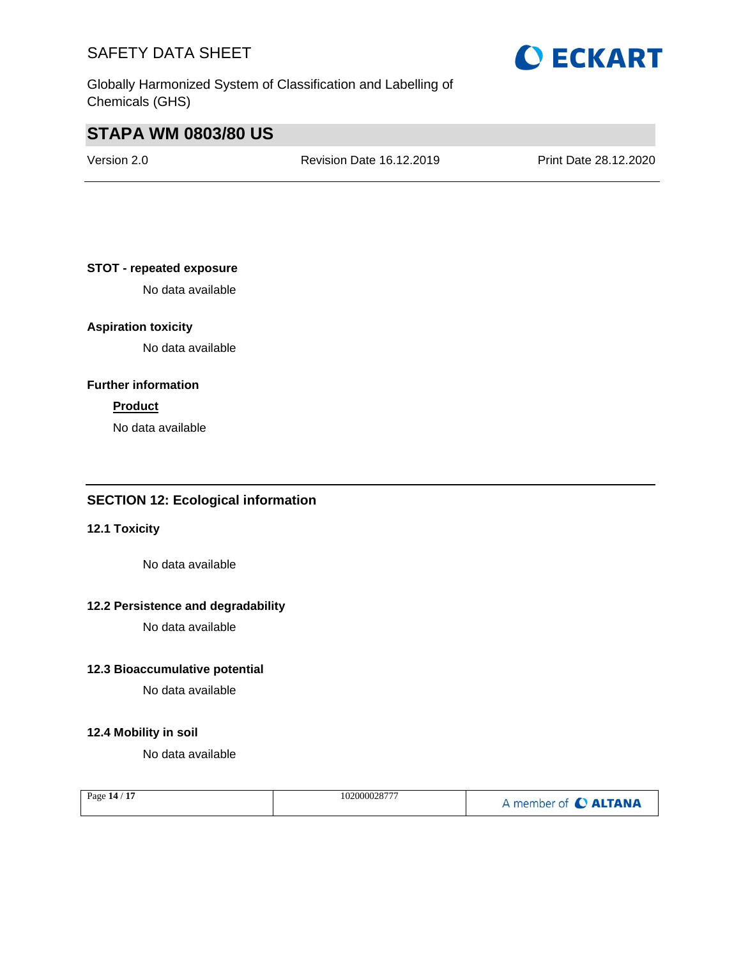Globally Harmonized System of Classification and Labelling of Chemicals (GHS)

# **STAPA WM 0803/80 US**

Version 2.0 Revision Date 16.12.2019 Print Date 28.12.2020

## **STOT - repeated exposure**

No data available

## **Aspiration toxicity**

No data available

## **Further information**

# **Product**

No data available

# **SECTION 12: Ecological information**

# **12.1 Toxicity**

No data available

# **12.2 Persistence and degradability**

No data available

## **12.3 Bioaccumulative potential**

No data available

## **12.4 Mobility in soil**

No data available

| Page 14 / 17 | 102000028777 | A member of C ALTANA |
|--------------|--------------|----------------------|
|--------------|--------------|----------------------|

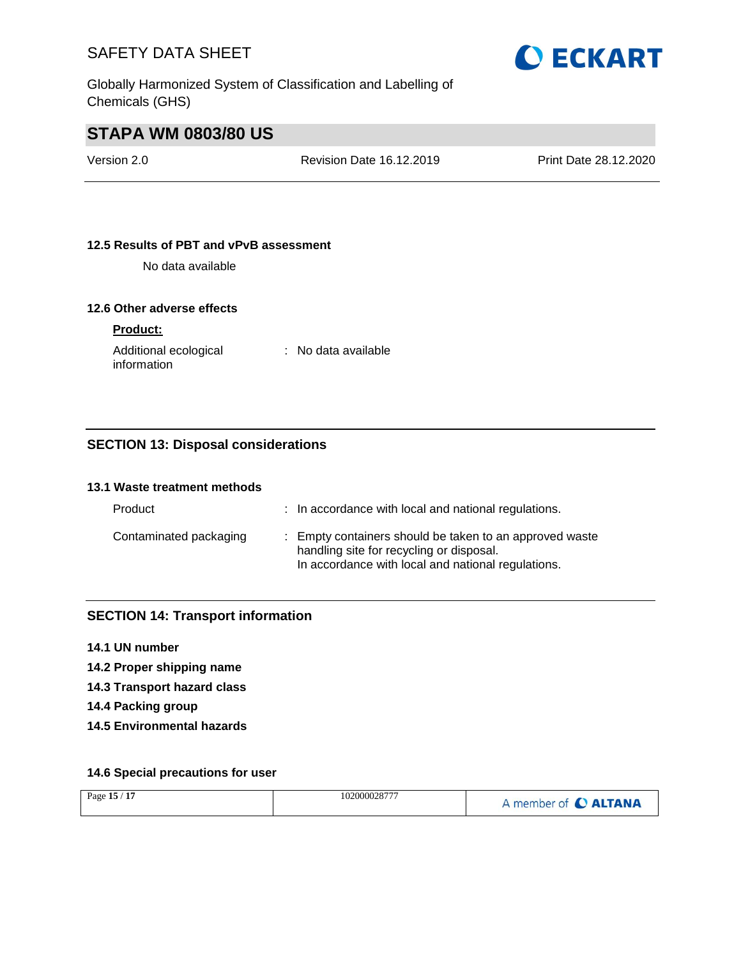

Globally Harmonized System of Classification and Labelling of Chemicals (GHS)

# **STAPA WM 0803/80 US**

Version 2.0 Revision Date 16.12.2019 Print Date 28.12.2020

## **12.5 Results of PBT and vPvB assessment**

No data available

## **12.6 Other adverse effects**

# **Product:**

Additional ecological information

: No data available

# **SECTION 13: Disposal considerations**

#### **13.1 Waste treatment methods**

| Product                | : In accordance with local and national regulations.                                                                                                      |
|------------------------|-----------------------------------------------------------------------------------------------------------------------------------------------------------|
| Contaminated packaging | : Empty containers should be taken to an approved waste<br>handling site for recycling or disposal.<br>In accordance with local and national regulations. |

# **SECTION 14: Transport information**

- **14.1 UN number**
- **14.2 Proper shipping name**
- **14.3 Transport hazard class**
- **14.4 Packing group**
- **14.5 Environmental hazards**

## **14.6 Special precautions for user**

| /17<br>Page $15/$ | 102000028777 | A member of <b>C ALTANA</b> |
|-------------------|--------------|-----------------------------|
|-------------------|--------------|-----------------------------|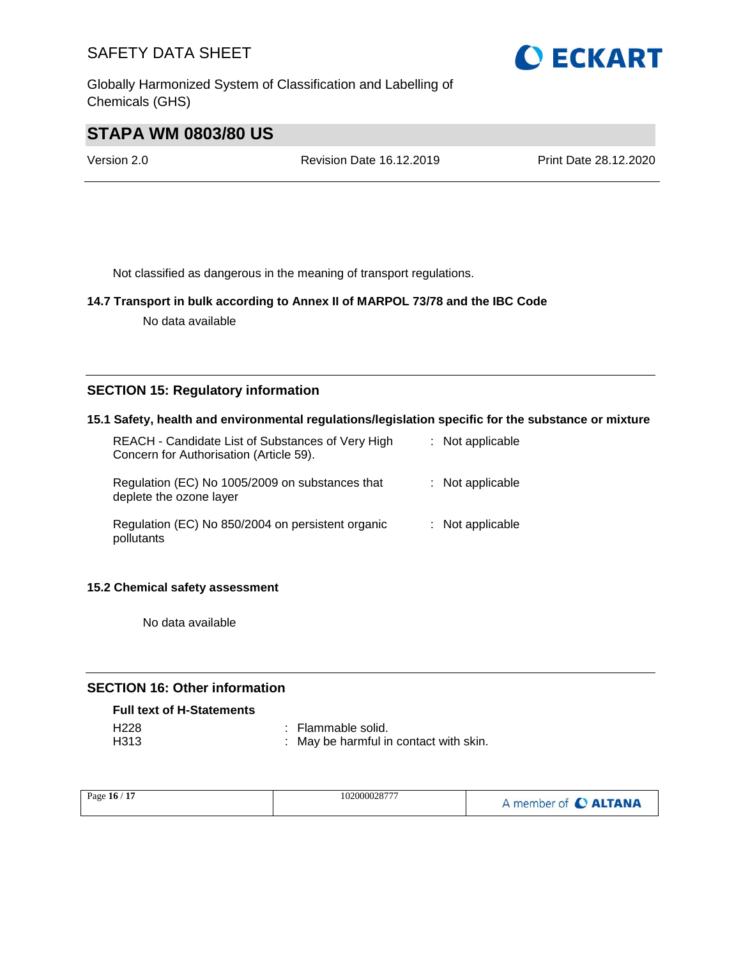Globally Harmonized System of Classification and Labelling of Chemicals (GHS)



# **STAPA WM 0803/80 US**

Version 2.0 Revision Date 16.12.2019 Print Date 28.12.2020

Not classified as dangerous in the meaning of transport regulations.

## **14.7 Transport in bulk according to Annex II of MARPOL 73/78 and the IBC Code**

No data available

# **SECTION 15: Regulatory information**

## **15.1 Safety, health and environmental regulations/legislation specific for the substance or mixture**

| REACH - Candidate List of Substances of Very High<br>Concern for Authorisation (Article 59). | : Not applicable   |
|----------------------------------------------------------------------------------------------|--------------------|
| Regulation (EC) No 1005/2009 on substances that<br>deplete the ozone layer                   | $:$ Not applicable |
| Regulation (EC) No 850/2004 on persistent organic<br>pollutants                              | $:$ Not applicable |

#### **15.2 Chemical safety assessment**

No data available

# **SECTION 16: Other information**

#### **Full text of H-Statements**

| H228 | : Flammable solid.                     |
|------|----------------------------------------|
| H313 | : May be harmful in contact with skin. |

| Page 16 / 17 | 102000028777 | A member of <b>C ALTANA</b> |
|--------------|--------------|-----------------------------|
|--------------|--------------|-----------------------------|